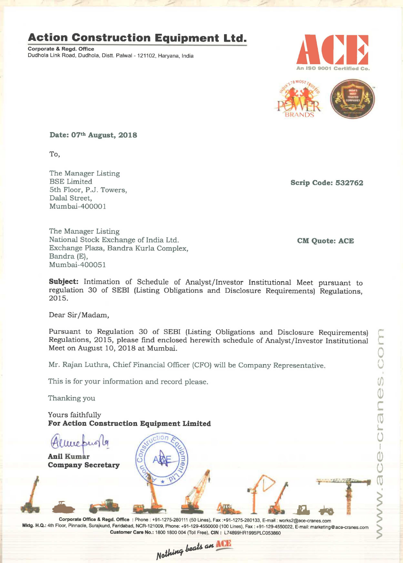#### Action Construction Equipment Ltd.

Dudhola Link Road, Dudhola, Distt. Palwal - 121102, Haryana, India





Date: 07th August, 2018

To,

The Manager Listing 5th Floor, P.J. Towers, Dalal Street, Mumbai-400001

The Manager Listing National Stock Exchange of India Ltd. CM Quote: ACE Exchange Plaza, Bandra Kurla Complex, Bandra (E), Mumbai—400051

Scrip Code: 532762

Subject: Intimation of Schedule of Analyst/Investor Institutional Meet pursuant to regulation <sup>30</sup> of SEBI (Listing Obligations and Disclosure Requirements) Regulations, 2015.

Dear Sir/Madam,

Pursuant to Regulation <sup>30</sup> of SEBI (Listing Obligations and Disclosure Requirements) Regulations, 2015, please find enclosed herewith schedule of Analyst/Investor Institutional Meet on August 10, 2018 at Mumbai.

Mr. Rajan Luthra, Chief Financial Officer (CFO) will be Company Representative.

This is for your information and record please.

Thanking you

Yours faithfully For Action Construction Equipment Limited

live pus Anil Kumar Company Secretary

Company Secretary<br>
Mktg. H.Q.: 4th Floor, Pinnacle, Surajkund, Faridabad, NCR-121009, Phone: +91-1275-280111 (50 Lines), Fax :+91-1275-280133, E-mail: works2@ace-cranes.com<br>
Mktg. H.Q.: 4th Floor, Pinnacle, Surajkund, Fari Corporate Office & Regd. Office : Phone : +91-1275—280111 (50 Lines), Fax :+91-1275-280133. E-mail : work52@ace-cranes.com Customer Care No.: 1800 1800 004 (Toll Free), CIN : L74899HR1995PL0053860

WW -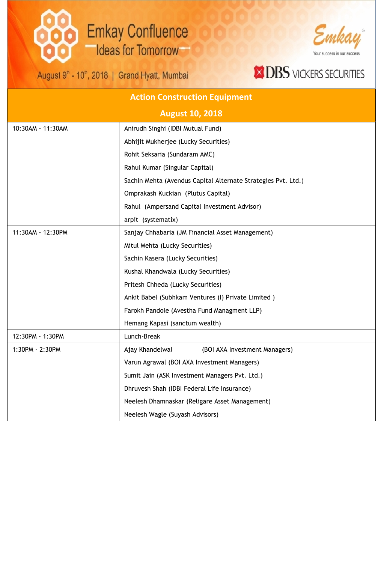## **Emkay Confluence Ideas for Tomorrow**

August 9<sup>th</sup> - 10<sup>th</sup>, 2018 | Grand Hyatt, Mumbai



#### **XIDBS** VICKERS SECURITIES

| <b>Action Construction Equipment</b> |                                                               |  |
|--------------------------------------|---------------------------------------------------------------|--|
| <b>August 10, 2018</b>               |                                                               |  |
| 10:30AM - 11:30AM                    | Anirudh Singhi (IDBI Mutual Fund)                             |  |
|                                      | Abhijit Mukherjee (Lucky Securities)                          |  |
|                                      | Rohit Seksaria (Sundaram AMC)                                 |  |
|                                      | Rahul Kumar (Singular Capital)                                |  |
|                                      | Sachin Mehta (Avendus Capital Alternate Strategies Pvt. Ltd.) |  |
|                                      | Omprakash Kuckian (Plutus Capital)                            |  |
|                                      | Rahul (Ampersand Capital Investment Advisor)                  |  |
|                                      | arpit (systematix)                                            |  |
| 11:30AM - 12:30PM                    | Sanjay Chhabaria (JM Financial Asset Management)              |  |
|                                      | Mitul Mehta (Lucky Securities)                                |  |
|                                      | Sachin Kasera (Lucky Securities)                              |  |
|                                      | Kushal Khandwala (Lucky Securities)                           |  |
|                                      | Pritesh Chheda (Lucky Securities)                             |  |
|                                      | Ankit Babel (Subhkam Ventures (I) Private Limited)            |  |
|                                      | Farokh Pandole (Avestha Fund Managment LLP)                   |  |
|                                      | Hemang Kapasi (sanctum wealth)                                |  |
| 12:30PM - 1:30PM                     | Lunch-Break                                                   |  |
| 1:30PM - 2:30PM                      | Ajay Khandelwal<br>(BOI AXA Investment Managers)              |  |
|                                      | Varun Agrawal (BOI AXA Investment Managers)                   |  |
|                                      | Sumit Jain (ASK Investment Managers Pvt. Ltd.)                |  |
|                                      | Dhruvesh Shah (IDBI Federal Life Insurance)                   |  |
|                                      | Neelesh Dhamnaskar (Religare Asset Management)                |  |
|                                      | Neelesh Wagle (Suyash Advisors)                               |  |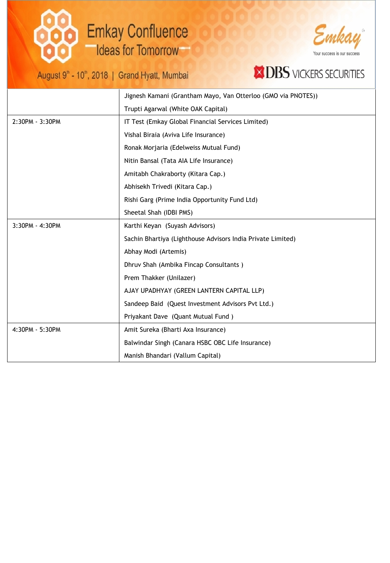# **Emkay Confluence Ideas for Tomorrow**

August 9<sup>th</sup> - 10<sup>th</sup>, 2018 | Grand Hyatt, Mumbai



### **XIDBS** VICKERS SECURITIES

|                   | Jignesh Kamani (Grantham Mayo, Van Otterloo (GMO via PNOTES))<br>Trupti Agarwal (White OAK Capital) |  |
|-------------------|-----------------------------------------------------------------------------------------------------|--|
|                   |                                                                                                     |  |
| 2:30PM - 3:30PM   | IT Test (Emkay Global Financial Services Limited)                                                   |  |
|                   | Vishal Biraia (Aviva Life Insurance)                                                                |  |
|                   | Ronak Morjaria (Edelweiss Mutual Fund)                                                              |  |
|                   | Nitin Bansal (Tata AIA Life Insurance)                                                              |  |
|                   | Amitabh Chakraborty (Kitara Cap.)                                                                   |  |
|                   | Abhisekh Trivedi (Kitara Cap.)                                                                      |  |
|                   | Rishi Garg (Prime India Opportunity Fund Ltd)                                                       |  |
|                   | Sheetal Shah (IDBI PMS)                                                                             |  |
| $3:30PM - 4:30PM$ | Karthi Keyan (Suyash Advisors)                                                                      |  |
|                   | Sachin Bhartiya (Lighthouse Advisors India Private Limited)                                         |  |
|                   | Abhay Modi (Artemis)                                                                                |  |
|                   | Dhruv Shah (Ambika Fincap Consultants)                                                              |  |
|                   | Prem Thakker (Unilazer)                                                                             |  |
|                   | AJAY UPADHYAY (GREEN LANTERN CAPITAL LLP)                                                           |  |
|                   | Sandeep Baid (Quest Investment Advisors Pvt Ltd.)                                                   |  |
|                   | Priyakant Dave (Quant Mutual Fund)                                                                  |  |
| 4:30PM - 5:30PM   | Amit Sureka (Bharti Axa Insurance)                                                                  |  |
|                   | Balwindar Singh (Canara HSBC OBC Life Insurance)                                                    |  |
|                   | Manish Bhandari (Vallum Capital)                                                                    |  |